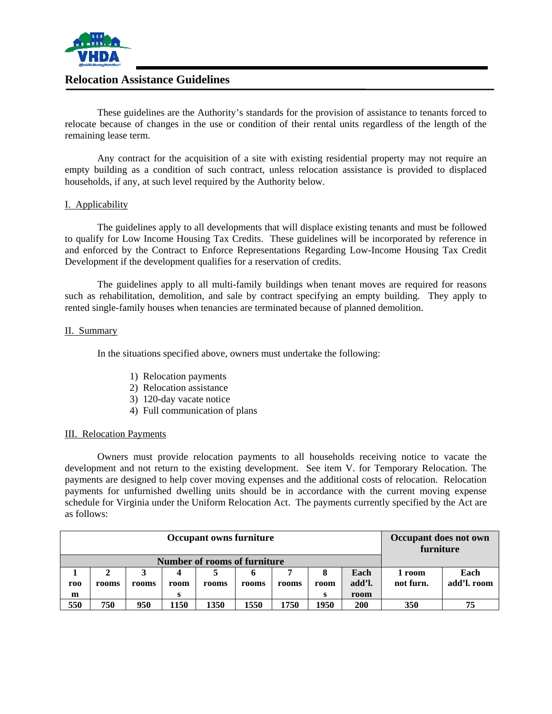

# **Relocation Assistance Guidelines**

These guidelines are the Authority's standards for the provision of assistance to tenants forced to relocate because of changes in the use or condition of their rental units regardless of the length of the remaining lease term.

Any contract for the acquisition of a site with existing residential property may not require an empty building as a condition of such contract, unless relocation assistance is provided to displaced households, if any, at such level required by the Authority below.

# I. Applicability

The guidelines apply to all developments that will displace existing tenants and must be followed to qualify for Low Income Housing Tax Credits. These guidelines will be incorporated by reference in and enforced by the Contract to Enforce Representations Regarding Low-Income Housing Tax Credit Development if the development qualifies for a reservation of credits.

The guidelines apply to all multi-family buildings when tenant moves are required for reasons such as rehabilitation, demolition, and sale by contract specifying an empty building. They apply to rented single-family houses when tenancies are terminated because of planned demolition.

## II. Summary

In the situations specified above, owners must undertake the following:

- 1) Relocation payments
- 2) Relocation assistance
- 3) 120-day vacate notice
- 4) Full communication of plans

## III. Relocation Payments

Owners must provide relocation payments to all households receiving notice to vacate the development and not return to the existing development. See item V. for Temporary Relocation. The payments are designed to help cover moving expenses and the additional costs of relocation. Relocation payments for unfurnished dwelling units should be in accordance with the current moving expense schedule for Virginia under the Uniform Relocation Act. The payments currently specified by the Act are as follows:

| <b>Occupant owns furniture</b> |       |       |      |       |       |       |      |            | Occupant does not own<br>furniture |             |
|--------------------------------|-------|-------|------|-------|-------|-------|------|------------|------------------------------------|-------------|
| Number of rooms of furniture   |       |       |      |       |       |       |      |            |                                    |             |
|                                |       |       |      |       |       |       |      | Each       | 1 room                             | Each        |
| roo                            | rooms | rooms | room | rooms | rooms | rooms | room | add'l.     | not furn.                          | add'l. room |
| m                              |       |       | s    |       |       |       |      | room       |                                    |             |
| 550                            | 750   | 950   | 1150 | 1350  | 1550  | 1750  | 1950 | <b>200</b> | 350                                | 75          |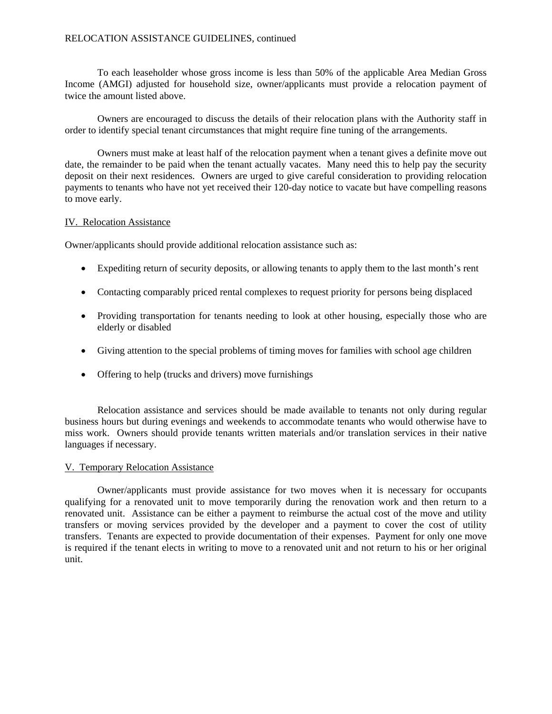# RELOCATION ASSISTANCE GUIDELINES, continued

To each leaseholder whose gross income is less than 50% of the applicable Area Median Gross Income (AMGI) adjusted for household size, owner/applicants must provide a relocation payment of twice the amount listed above.

 Owners are encouraged to discuss the details of their relocation plans with the Authority staff in order to identify special tenant circumstances that might require fine tuning of the arrangements.

 Owners must make at least half of the relocation payment when a tenant gives a definite move out date, the remainder to be paid when the tenant actually vacates. Many need this to help pay the security deposit on their next residences. Owners are urged to give careful consideration to providing relocation payments to tenants who have not yet received their 120-day notice to vacate but have compelling reasons to move early.

## IV. Relocation Assistance

Owner/applicants should provide additional relocation assistance such as:

- Expediting return of security deposits, or allowing tenants to apply them to the last month's rent
- Contacting comparably priced rental complexes to request priority for persons being displaced
- Providing transportation for tenants needing to look at other housing, especially those who are elderly or disabled
- Giving attention to the special problems of timing moves for families with school age children
- Offering to help (trucks and drivers) move furnishings

Relocation assistance and services should be made available to tenants not only during regular business hours but during evenings and weekends to accommodate tenants who would otherwise have to miss work. Owners should provide tenants written materials and/or translation services in their native languages if necessary.

# V. Temporary Relocation Assistance

 Owner/applicants must provide assistance for two moves when it is necessary for occupants qualifying for a renovated unit to move temporarily during the renovation work and then return to a renovated unit. Assistance can be either a payment to reimburse the actual cost of the move and utility transfers or moving services provided by the developer and a payment to cover the cost of utility transfers. Tenants are expected to provide documentation of their expenses. Payment for only one move is required if the tenant elects in writing to move to a renovated unit and not return to his or her original unit.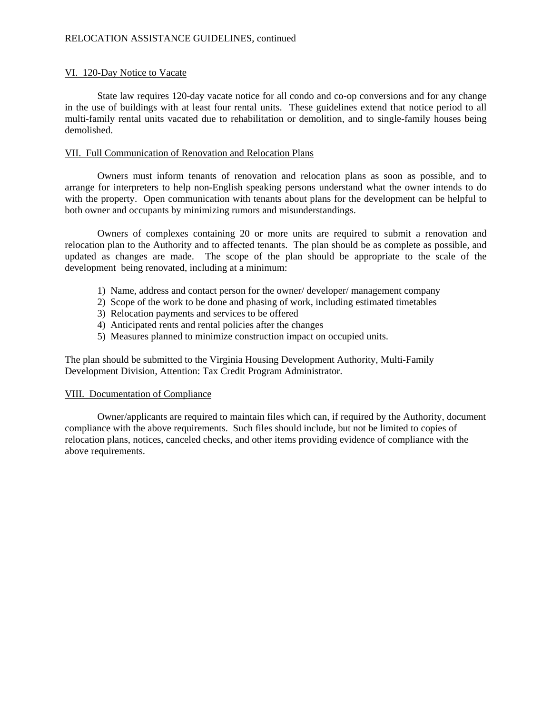# VI. 120-Day Notice to Vacate

State law requires 120-day vacate notice for all condo and co-op conversions and for any change in the use of buildings with at least four rental units. These guidelines extend that notice period to all multi-family rental units vacated due to rehabilitation or demolition, and to single-family houses being demolished.

# VII. Full Communication of Renovation and Relocation Plans

 Owners must inform tenants of renovation and relocation plans as soon as possible, and to arrange for interpreters to help non-English speaking persons understand what the owner intends to do with the property. Open communication with tenants about plans for the development can be helpful to both owner and occupants by minimizing rumors and misunderstandings.

 Owners of complexes containing 20 or more units are required to submit a renovation and relocation plan to the Authority and to affected tenants. The plan should be as complete as possible, and updated as changes are made. The scope of the plan should be appropriate to the scale of the development being renovated, including at a minimum:

- 1) Name, address and contact person for the owner/ developer/ management company
- 2) Scope of the work to be done and phasing of work, including estimated timetables
- 3) Relocation payments and services to be offered
- 4) Anticipated rents and rental policies after the changes
- 5) Measures planned to minimize construction impact on occupied units.

The plan should be submitted to the Virginia Housing Development Authority, Multi-Family Development Division, Attention: Tax Credit Program Administrator.

## VIII. Documentation of Compliance

 Owner/applicants are required to maintain files which can, if required by the Authority, document compliance with the above requirements. Such files should include, but not be limited to copies of relocation plans, notices, canceled checks, and other items providing evidence of compliance with the above requirements.